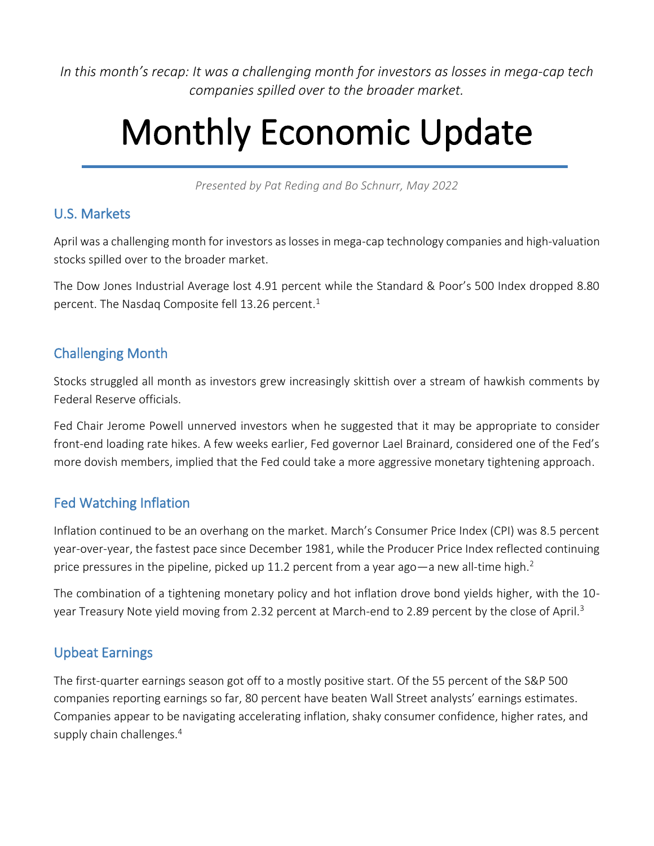*In this month's recap: It was a challenging month for investors as losses in mega-cap tech companies spilled over to the broader market.*

# Monthly Economic Update

*Presented by Pat Reding and Bo Schnurr, May 2022*

#### U.S. Markets

April was a challenging month for investors as losses in mega-cap technology companies and high-valuation stocks spilled over to the broader market.

The Dow Jones Industrial Average lost 4.91 percent while the Standard & Poor's 500 Index dropped 8.80 percent. The Nasdaq Composite fell 13.26 percent. 1

#### Challenging Month

Stocks struggled all month as investors grew increasingly skittish over a stream of hawkish comments by Federal Reserve officials.

Fed Chair Jerome Powell unnerved investors when he suggested that it may be appropriate to consider front-end loading rate hikes. A few weeks earlier, Fed governor Lael Brainard, considered one of the Fed's more dovish members, implied that the Fed could take a more aggressive monetary tightening approach.

#### Fed Watching Inflation

Inflation continued to be an overhang on the market. March's Consumer Price Index (CPI) was 8.5 percent year-over-year, the fastest pace since December 1981, while the Producer Price Index reflected continuing price pressures in the pipeline, picked up 11.2 percent from a year ago—a new all-time high.<sup>2</sup>

The combination of a tightening monetary policy and hot inflation drove bond yields higher, with the 10 year Treasury Note yield moving from 2.32 percent at March-end to 2.89 percent by the close of April.<sup>3</sup>

## Upbeat Earnings

The first-quarter earnings season got off to a mostly positive start. Of the 55 percent of the S&P 500 companies reporting earnings so far, 80 percent have beaten Wall Street analysts' earnings estimates. Companies appear to be navigating accelerating inflation, shaky consumer confidence, higher rates, and supply chain challenges.<sup>4</sup>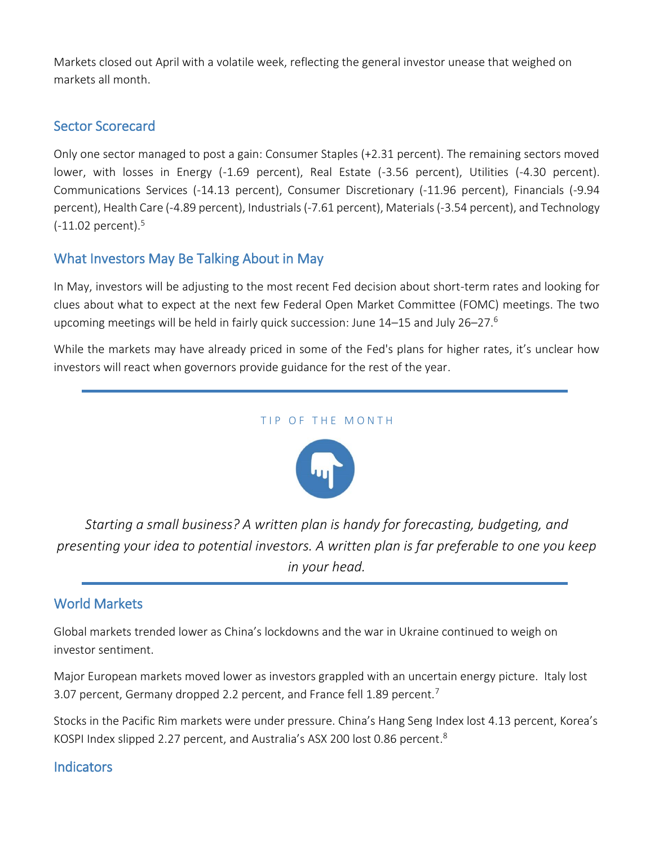Markets closed out April with a volatile week, reflecting the general investor unease that weighed on markets all month.

#### Sector Scorecard

Only one sector managed to post a gain: Consumer Staples (+2.31 percent). The remaining sectors moved lower, with losses in Energy (-1.69 percent), Real Estate (-3.56 percent), Utilities (-4.30 percent). Communications Services (-14.13 percent), Consumer Discretionary (-11.96 percent), Financials (-9.94 percent), Health Care (-4.89 percent), Industrials (-7.61 percent), Materials (-3.54 percent), and Technology (-11.02 percent). 5

## What Investors May Be Talking About in May

In May, investors will be adjusting to the most recent Fed decision about short-term rates and looking for clues about what to expect at the next few Federal Open Market Committee (FOMC) meetings. The two upcoming meetings will be held in fairly quick succession: June 14–15 and July 26–27.<sup>6</sup>

While the markets may have already priced in some of the Fed's plans for higher rates, it's unclear how investors will react when governors provide guidance for the rest of the year.





*Starting a small business? A written plan is handy for forecasting, budgeting, and presenting your idea to potential investors. A written plan is far preferable to one you keep in your head.*

## World Markets

Global markets trended lower as China's lockdowns and the war in Ukraine continued to weigh on investor sentiment.

Major European markets moved lower as investors grappled with an uncertain energy picture. Italy lost 3.07 percent, Germany dropped 2.2 percent, and France fell 1.89 percent.<sup>7</sup>

Stocks in the Pacific Rim markets were under pressure. China's Hang Seng Index lost 4.13 percent, Korea's KOSPI Index slipped 2.27 percent, and Australia's ASX 200 lost 0.86 percent.<sup>8</sup>

#### **Indicators**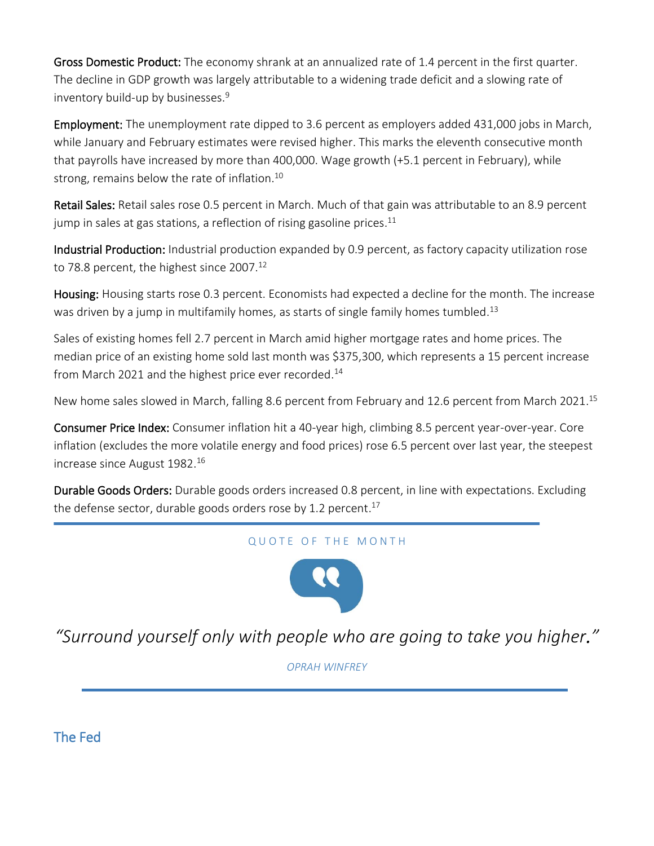Gross Domestic Product: The economy shrank at an annualized rate of 1.4 percent in the first quarter. The decline in GDP growth was largely attributable to a widening trade deficit and a slowing rate of inventory build-up by businesses. 9

Employment: The unemployment rate dipped to 3.6 percent as employers added 431,000 jobs in March, while January and February estimates were revised higher. This marks the eleventh consecutive month that payrolls have increased by more than 400,000. Wage growth (+5.1 percent in February), while strong, remains below the rate of inflation. 10

Retail Sales: Retail sales rose 0.5 percent in March. Much of that gain was attributable to an 8.9 percent jump in sales at gas stations, a reflection of rising gasoline prices. $^{\rm 11}$ 

Industrial Production: Industrial production expanded by 0.9 percent, as factory capacity utilization rose to 78.8 percent, the highest since 2007.<sup>12</sup>

Housing: Housing starts rose 0.3 percent. Economists had expected a decline for the month. The increase was driven by a jump in multifamily homes, as starts of single family homes tumbled.<sup>13</sup>

Sales of existing homes fell 2.7 percent in March amid higher mortgage rates and home prices. The median price of an existing home sold last month was \$375,300, which represents a 15 percent increase from March 2021 and the highest price ever recorded.<sup>14</sup>

New home sales slowed in March, falling 8.6 percent from February and 12.6 percent from March 2021.<sup>15</sup>

Consumer Price Index: Consumer inflation hit a 40-year high, climbing 8.5 percent year-over-year. Core inflation (excludes the more volatile energy and food prices) rose 6.5 percent over last year, the steepest increase since August 1982. 16

Durable Goods Orders: Durable goods orders increased 0.8 percent, in line with expectations. Excluding the defense sector, durable goods orders rose by 1.2 percent.<sup>17</sup>

#### QUOTE OF THE MONTH



*"Surround yourself only with people who are going to take you higher."*

*OPRAH WINFREY*

The Fed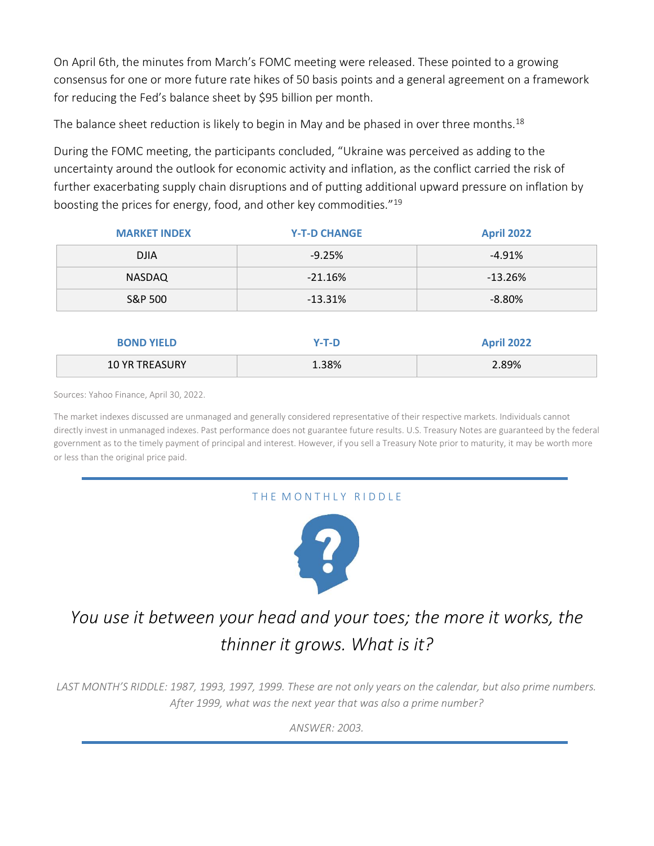On April 6th, the minutes from March's FOMC meeting were released. These pointed to a growing consensus for one or more future rate hikes of 50 basis points and a general agreement on a framework for reducing the Fed's balance sheet by \$95 billion per month.

The balance sheet reduction is likely to begin in May and be phased in over three months.<sup>18</sup>

During the FOMC meeting, the participants concluded, "Ukraine was perceived as adding to the uncertainty around the outlook for economic activity and inflation, as the conflict carried the risk of further exacerbating supply chain disruptions and of putting additional upward pressure on inflation by boosting the prices for energy, food, and other key commodities."<sup>19</sup>

| <b>MARKET INDEX</b> | <b>Y-T-D CHANGE</b> | <b>April 2022</b> |
|---------------------|---------------------|-------------------|
| <b>DJIA</b>         | $-9.25%$            | $-4.91%$          |
| NASDAQ              | $-21.16%$           | $-13.26%$         |
| S&P 500             | $-13.31%$           | $-8.80\%$         |

| <b>BOND YIELD</b>     | 7-T-D | <b>April 2022</b> |
|-----------------------|-------|-------------------|
| <b>10 YR TREASURY</b> | 1.38% | 2.89%             |

Sources: Yahoo Finance, April 30, 2022.

The market indexes discussed are unmanaged and generally considered representative of their respective markets. Individuals cannot directly invest in unmanaged indexes. Past performance does not guarantee future results. U.S. Treasury Notes are guaranteed by the federal government as to the timely payment of principal and interest. However, if you sell a Treasury Note prior to maturity, it may be worth more or less than the original price paid.

#### THE MONTHLY RIDDLE



# *You use it between your head and your toes; the more it works, the thinner it grows. What is it?*

*LAST MONTH'S RIDDLE: 1987, 1993, 1997, 1999. These are not only years on the calendar, but also prime numbers. After 1999, what was the next year that was also a prime number?*

*ANSWER: 2003.*